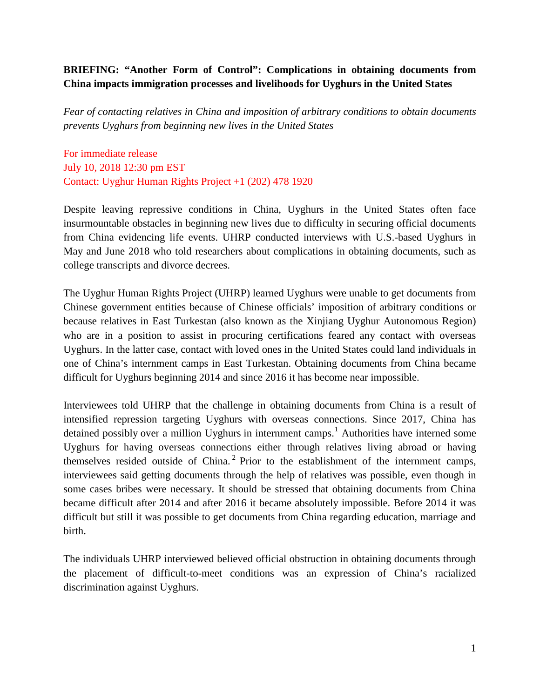# **BRIEFING: "Another Form of Control": Complications in obtaining documents from China impacts immigration processes and livelihoods for Uyghurs in the United States**

*Fear of contacting relatives in China and imposition of arbitrary conditions to obtain documents prevents Uyghurs from beginning new lives in the United States*

For immediate release July 10, 2018 12:30 pm EST Contact: Uyghur Human Rights Project +1 (202) 478 1920

Despite leaving repressive conditions in China, Uyghurs in the United States often face insurmountable obstacles in beginning new lives due to difficulty in securing official documents from China evidencing life events. UHRP conducted interviews with U.S.-based Uyghurs in May and June 2018 who told researchers about complications in obtaining documents, such as college transcripts and divorce decrees.

The Uyghur Human Rights Project (UHRP) learned Uyghurs were unable to get documents from Chinese government entities because of Chinese officials' imposition of arbitrary conditions or because relatives in East Turkestan (also known as the Xinjiang Uyghur Autonomous Region) who are in a position to assist in procuring certifications feared any contact with overseas Uyghurs. In the latter case, contact with loved ones in the United States could land individuals in one of China's internment camps in East Turkestan. Obtaining documents from China became difficult for Uyghurs beginning 2014 and since 2016 it has become near impossible.

Interviewees told UHRP that the challenge in obtaining documents from China is a result of intensified repression targeting Uyghurs with overseas connections. Since 2017, China has detained possibly over a million Uyghurs in internment camps.<sup>[1](#page-5-0)</sup> Authorities have interned some Uyghurs for having overseas connections either through relatives living abroad or having themselves resided outside of China.<sup>[2](#page-5-1)</sup> Prior to the establishment of the internment camps, interviewees said getting documents through the help of relatives was possible, even though in some cases bribes were necessary. It should be stressed that obtaining documents from China became difficult after 2014 and after 2016 it became absolutely impossible. Before 2014 it was difficult but still it was possible to get documents from China regarding education, marriage and birth.

The individuals UHRP interviewed believed official obstruction in obtaining documents through the placement of difficult-to-meet conditions was an expression of China's racialized discrimination against Uyghurs.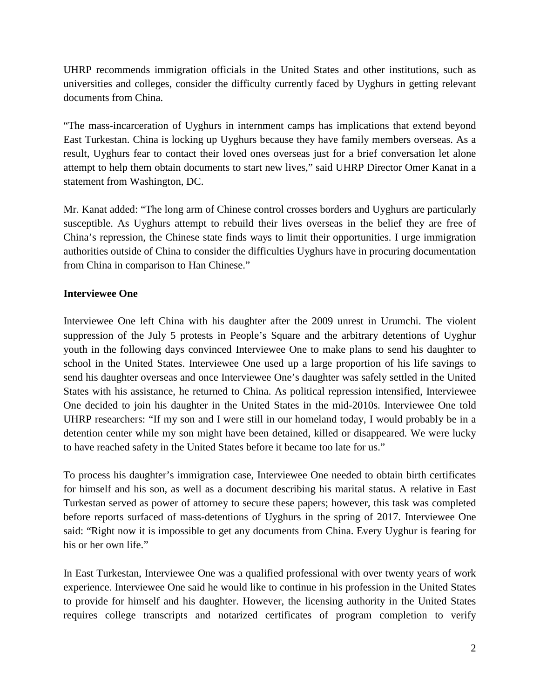UHRP recommends immigration officials in the United States and other institutions, such as universities and colleges, consider the difficulty currently faced by Uyghurs in getting relevant documents from China.

"The mass-incarceration of Uyghurs in internment camps has implications that extend beyond East Turkestan. China is locking up Uyghurs because they have family members overseas. As a result, Uyghurs fear to contact their loved ones overseas just for a brief conversation let alone attempt to help them obtain documents to start new lives," said UHRP Director Omer Kanat in a statement from Washington, DC.

Mr. Kanat added: "The long arm of Chinese control crosses borders and Uyghurs are particularly susceptible. As Uyghurs attempt to rebuild their lives overseas in the belief they are free of China's repression, the Chinese state finds ways to limit their opportunities. I urge immigration authorities outside of China to consider the difficulties Uyghurs have in procuring documentation from China in comparison to Han Chinese."

# **Interviewee One**

Interviewee One left China with his daughter after the 2009 unrest in Urumchi. The violent suppression of the July 5 protests in People's Square and the arbitrary detentions of Uyghur youth in the following days convinced Interviewee One to make plans to send his daughter to school in the United States. Interviewee One used up a large proportion of his life savings to send his daughter overseas and once Interviewee One's daughter was safely settled in the United States with his assistance, he returned to China. As political repression intensified, Interviewee One decided to join his daughter in the United States in the mid-2010s. Interviewee One told UHRP researchers: "If my son and I were still in our homeland today, I would probably be in a detention center while my son might have been detained, killed or disappeared. We were lucky to have reached safety in the United States before it became too late for us."

To process his daughter's immigration case, Interviewee One needed to obtain birth certificates for himself and his son, as well as a document describing his marital status. A relative in East Turkestan served as power of attorney to secure these papers; however, this task was completed before reports surfaced of mass-detentions of Uyghurs in the spring of 2017. Interviewee One said: "Right now it is impossible to get any documents from China. Every Uyghur is fearing for his or her own life."

In East Turkestan, Interviewee One was a qualified professional with over twenty years of work experience. Interviewee One said he would like to continue in his profession in the United States to provide for himself and his daughter. However, the licensing authority in the United States requires college transcripts and notarized certificates of program completion to verify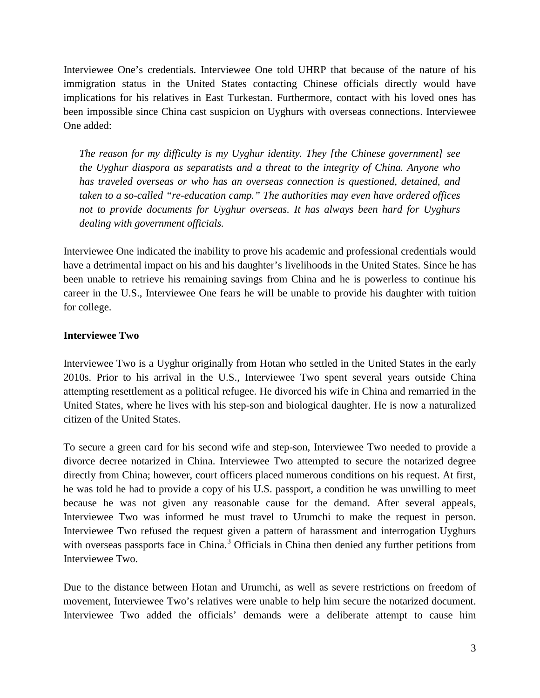Interviewee One's credentials. Interviewee One told UHRP that because of the nature of his immigration status in the United States contacting Chinese officials directly would have implications for his relatives in East Turkestan. Furthermore, contact with his loved ones has been impossible since China cast suspicion on Uyghurs with overseas connections. Interviewee One added:

*The reason for my difficulty is my Uyghur identity. They [the Chinese government] see the Uyghur diaspora as separatists and a threat to the integrity of China. Anyone who has traveled overseas or who has an overseas connection is questioned, detained, and taken to a so-called "re-education camp." The authorities may even have ordered offices not to provide documents for Uyghur overseas. It has always been hard for Uyghurs dealing with government officials.* 

Interviewee One indicated the inability to prove his academic and professional credentials would have a detrimental impact on his and his daughter's livelihoods in the United States. Since he has been unable to retrieve his remaining savings from China and he is powerless to continue his career in the U.S., Interviewee One fears he will be unable to provide his daughter with tuition for college.

## **Interviewee Two**

Interviewee Two is a Uyghur originally from Hotan who settled in the United States in the early 2010s. Prior to his arrival in the U.S., Interviewee Two spent several years outside China attempting resettlement as a political refugee. He divorced his wife in China and remarried in the United States, where he lives with his step-son and biological daughter. He is now a naturalized citizen of the United States.

To secure a green card for his second wife and step-son, Interviewee Two needed to provide a divorce decree notarized in China. Interviewee Two attempted to secure the notarized degree directly from China; however, court officers placed numerous conditions on his request. At first, he was told he had to provide a copy of his U.S. passport, a condition he was unwilling to meet because he was not given any reasonable cause for the demand. After several appeals, Interviewee Two was informed he must travel to Urumchi to make the request in person. Interviewee Two refused the request given a pattern of harassment and interrogation Uyghurs with overseas passports face in China.<sup>[3](#page-5-2)</sup> Officials in China then denied any further petitions from Interviewee Two.

Due to the distance between Hotan and Urumchi, as well as severe restrictions on freedom of movement, Interviewee Two's relatives were unable to help him secure the notarized document. Interviewee Two added the officials' demands were a deliberate attempt to cause him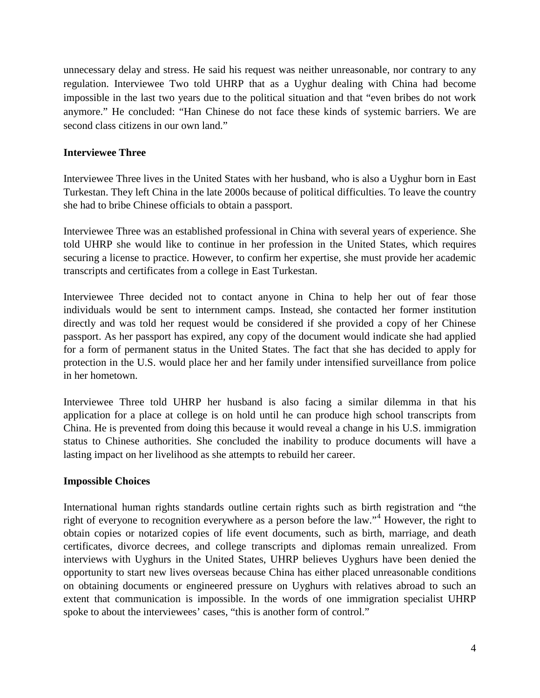unnecessary delay and stress. He said his request was neither unreasonable, nor contrary to any regulation. Interviewee Two told UHRP that as a Uyghur dealing with China had become impossible in the last two years due to the political situation and that "even bribes do not work anymore." He concluded: "Han Chinese do not face these kinds of systemic barriers. We are second class citizens in our own land."

## **Interviewee Three**

Interviewee Three lives in the United States with her husband, who is also a Uyghur born in East Turkestan. They left China in the late 2000s because of political difficulties. To leave the country she had to bribe Chinese officials to obtain a passport.

Interviewee Three was an established professional in China with several years of experience. She told UHRP she would like to continue in her profession in the United States, which requires securing a license to practice. However, to confirm her expertise, she must provide her academic transcripts and certificates from a college in East Turkestan.

Interviewee Three decided not to contact anyone in China to help her out of fear those individuals would be sent to internment camps. Instead, she contacted her former institution directly and was told her request would be considered if she provided a copy of her Chinese passport. As her passport has expired, any copy of the document would indicate she had applied for a form of permanent status in the United States. The fact that she has decided to apply for protection in the U.S. would place her and her family under intensified surveillance from police in her hometown.

Interviewee Three told UHRP her husband is also facing a similar dilemma in that his application for a place at college is on hold until he can produce high school transcripts from China. He is prevented from doing this because it would reveal a change in his U.S. immigration status to Chinese authorities. She concluded the inability to produce documents will have a lasting impact on her livelihood as she attempts to rebuild her career.

#### **Impossible Choices**

International human rights standards outline certain rights such as birth registration and "the right of everyone to recognition everywhere as a person before the law."<sup>[4](#page-5-3)</sup> However, the right to obtain copies or notarized copies of life event documents, such as birth, marriage, and death certificates, divorce decrees, and college transcripts and diplomas remain unrealized. From interviews with Uyghurs in the United States, UHRP believes Uyghurs have been denied the opportunity to start new lives overseas because China has either placed unreasonable conditions on obtaining documents or engineered pressure on Uyghurs with relatives abroad to such an extent that communication is impossible. In the words of one immigration specialist UHRP spoke to about the interviewees' cases, "this is another form of control."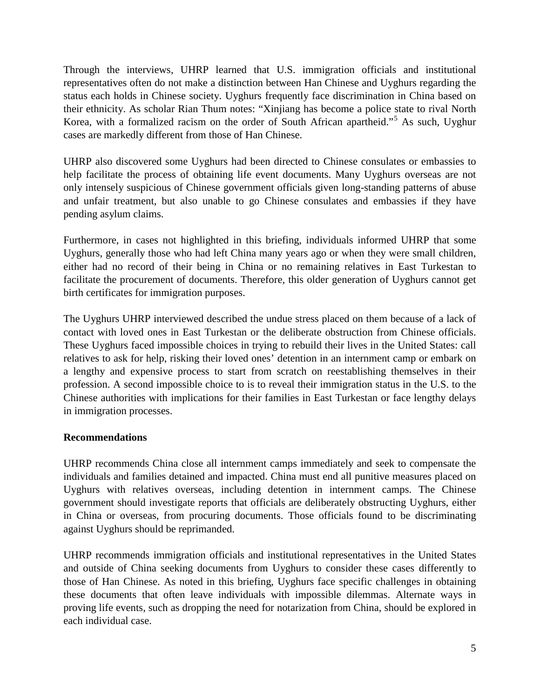Through the interviews, UHRP learned that U.S. immigration officials and institutional representatives often do not make a distinction between Han Chinese and Uyghurs regarding the status each holds in Chinese society. Uyghurs frequently face discrimination in China based on their ethnicity. As scholar Rian Thum notes: "Xinjiang has become a police state to rival North Korea, with a formalized racism on the order of South African apartheid."<sup>[5](#page-5-4)</sup> As such, Uyghur cases are markedly different from those of Han Chinese.

UHRP also discovered some Uyghurs had been directed to Chinese consulates or embassies to help facilitate the process of obtaining life event documents. Many Uyghurs overseas are not only intensely suspicious of Chinese government officials given long-standing patterns of abuse and unfair treatment, but also unable to go Chinese consulates and embassies if they have pending asylum claims.

Furthermore, in cases not highlighted in this briefing, individuals informed UHRP that some Uyghurs, generally those who had left China many years ago or when they were small children, either had no record of their being in China or no remaining relatives in East Turkestan to facilitate the procurement of documents. Therefore, this older generation of Uyghurs cannot get birth certificates for immigration purposes.

The Uyghurs UHRP interviewed described the undue stress placed on them because of a lack of contact with loved ones in East Turkestan or the deliberate obstruction from Chinese officials. These Uyghurs faced impossible choices in trying to rebuild their lives in the United States: call relatives to ask for help, risking their loved ones' detention in an internment camp or embark on a lengthy and expensive process to start from scratch on reestablishing themselves in their profession. A second impossible choice to is to reveal their immigration status in the U.S. to the Chinese authorities with implications for their families in East Turkestan or face lengthy delays in immigration processes.

## **Recommendations**

UHRP recommends China close all internment camps immediately and seek to compensate the individuals and families detained and impacted. China must end all punitive measures placed on Uyghurs with relatives overseas, including detention in internment camps. The Chinese government should investigate reports that officials are deliberately obstructing Uyghurs, either in China or overseas, from procuring documents. Those officials found to be discriminating against Uyghurs should be reprimanded.

UHRP recommends immigration officials and institutional representatives in the United States and outside of China seeking documents from Uyghurs to consider these cases differently to those of Han Chinese. As noted in this briefing, Uyghurs face specific challenges in obtaining these documents that often leave individuals with impossible dilemmas. Alternate ways in proving life events, such as dropping the need for notarization from China, should be explored in each individual case.